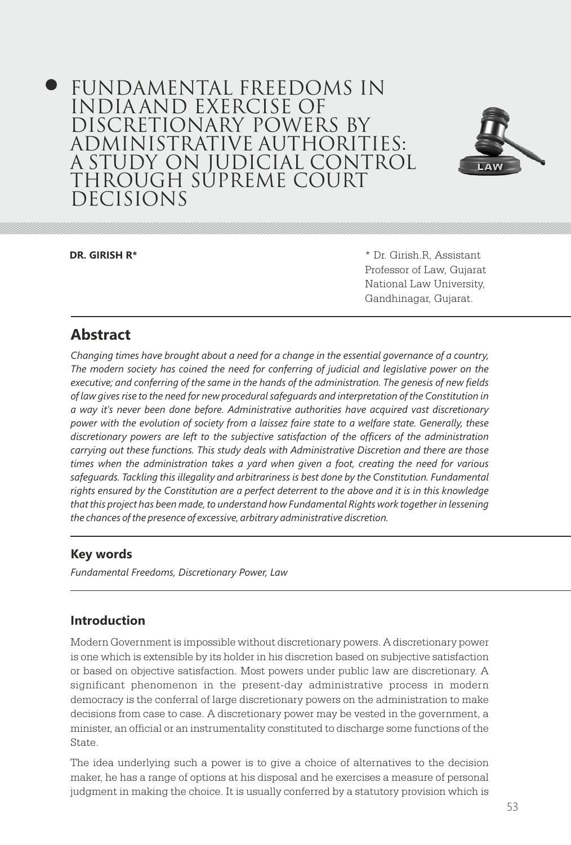# FUNDAMENTAL FREEDOMS IN INDIA AND EXERCISE OF DISCRETIONARY POWERS BY ADMINISTRATIVE AUTHORITIES: A STUDY ON JUDICIAL CONTROL THROUGH SUPREME COURT DECISIONS



**DR. GIRISH R\*** \* Dr. Girish.R, Assistant Professor of Law, Gujarat National Law University, Gandhinagar, Gujarat.

# **Abstract**

*Changing times have brought about a need for a change in the essential governance of a country, The modern society has coined the need for conferring of judicial and legislative power on the executive; and conferring of the same in the hands of the administration. The genesis of new fields of law gives rise to the need for new procedural safeguards and interpretation of the Constitution in a way it's never been done before. Administrative authorities have acquired vast discretionary power with the evolution of society from a laissez faire state to a welfare state. Generally, these discretionary powers are left to the subjective satisfaction of the officers of the administration carrying out these functions. This study deals with Administrative Discretion and there are those times when the administration takes a yard when given a foot, creating the need for various*  safeguards. Tackling this illegality and arbitrariness is best done by the Constitution. Fundamental *rights ensured by the Constitution are a perfect deterrent to the above and it is in this knowledge that this project has been made, to understand how Fundamental Rights work together in lessening the chances of the presence of excessive, arbitrary administrative discretion.* 

# **Key words**

*Fundamental Freedoms, Discretionary Power, Law* 

# **Introduction**

Modern Government is impossible without discretionary powers. A discretionary power is one which is extensible by its holder in his discretion based on subjective satisfaction or based on objective satisfaction. Most powers under public law are discretionary. A significant phenomenon in the present-day administrative process in modern democracy is the conferral of large discretionary powers on the administration to make decisions from case to case. A discretionary power may be vested in the government, a minister, an official or an instrumentality constituted to discharge some functions of the State.

The idea underlying such a power is to give a choice of alternatives to the decision maker, he has a range of options at his disposal and he exercises a measure of personal judgment in making the choice. It is usually conferred by a statutory provision which is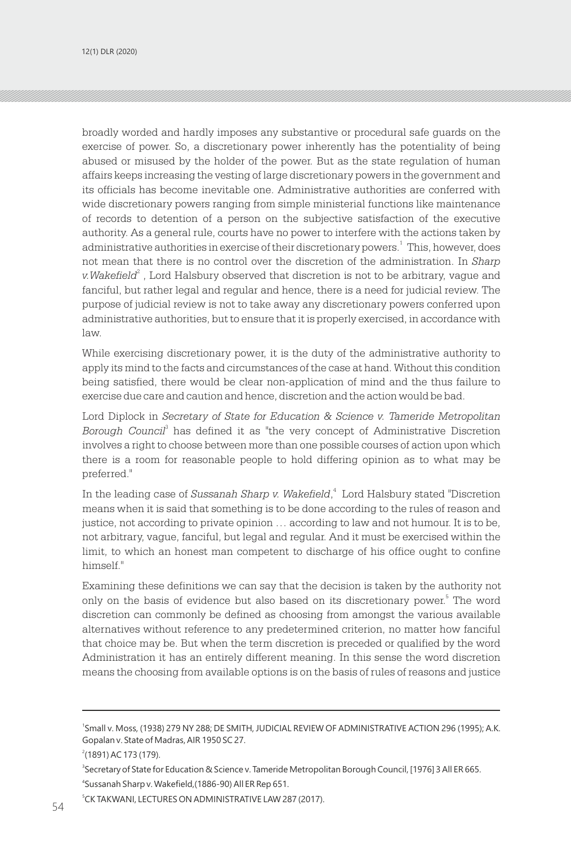broadly worded and hardly imposes any substantive or procedural safe guards on the exercise of power. So, a discretionary power inherently has the potentiality of being abused or misused by the holder of the power. But as the state regulation of human affairs keeps increasing the vesting of large discretionary powers in the government and its officials has become inevitable one. Administrative authorities are conferred with wide discretionary powers ranging from simple ministerial functions like maintenance of records to detention of a person on the subjective satisfaction of the executive authority. As a general rule, courts have no power to interfere with the actions taken by administrative authorities in exercise of their discretionary powers.<sup>1</sup> This, however, does not mean that there is no control over the discretion of the administration. In *Sharp*  v.Wakefield<sup>2</sup>, Lord Halsbury observed that discretion is not to be arbitrary, vague and fanciful, but rather legal and regular and hence, there is a need for judicial review. The purpose of judicial review is not to take away any discretionary powers conferred upon administrative authorities, but to ensure that it is properly exercised, in accordance with law.

While exercising discretionary power, it is the duty of the administrative authority to apply its mind to the facts and circumstances of the case at hand. Without this condition being satisfied, there would be clear non-application of mind and the thus failure to exercise due care and caution and hence, discretion and the action would be bad.

Lord Diplock in *Secretary of State for Education & Science v. Tameride Metropolitan*  Borough Council<sup>3</sup> has defined it as "the very concept of Administrative Discretion involves a right to choose between more than one possible courses of action upon which there is a room for reasonable people to hold differing opinion as to what may be preferred."

In the leading case of Sussanah Sharp v. Wakefield,<sup>4</sup> Lord Halsbury stated "Discretion" means when it is said that something is to be done according to the rules of reason and justice, not according to private opinion … according to law and not humour. It is to be, not arbitrary, vague, fanciful, but legal and regular. And it must be exercised within the limit, to which an honest man competent to discharge of his office ought to confine himself."

Examining these definitions we can say that the decision is taken by the authority not only on the basis of evidence but also based on its discretionary power. The word discretion can commonly be defined as choosing from amongst the various available alternatives without reference to any predetermined criterion, no matter how fanciful that choice may be. But when the term discretion is preceded or qualified by the word Administration it has an entirely different meaning. In this sense the word discretion means the choosing from available options is on the basis of rules of reasons and justice

<sup>1</sup> Small v. Moss, (1938) 279 NY 288; DE SMITH, JUDICIAL REVIEW OF ADMINISTRATIVE ACTION 296 (1995); A.K. Gopalan v. State of Madras, AIR 1950 SC 27.

<sup>2</sup> (1891) AC 173 (179).

<sup>4</sup> Sussanah Sharp v. Wakefield,(1886-90) All ER Rep 651. <sup>3</sup>Secretary of State for Education & Science v. Tameride Metropolitan Borough Council, [1976] 3 All ER 665.

<sup>5</sup> CK TAKWANI, LECTURES ON ADMINISTRATIVE LAW 287 (2017).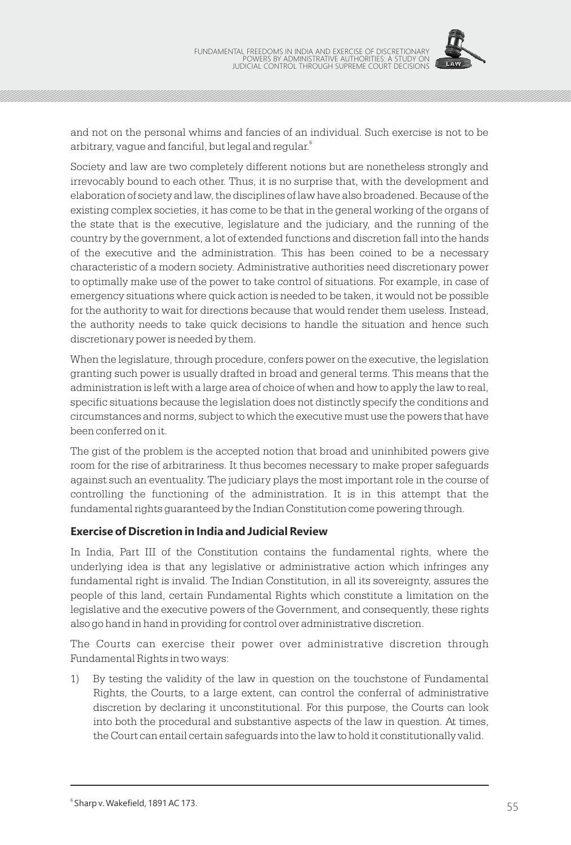

and not on the personal whims and fancies of an individual. Such exercise is not to be arbitrary, vague and fanciful, but legal and regular. $^{\mathrm{6}}$ 

Society and law are two completely different notions but are nonetheless strongly and irrevocably bound to each other. Thus, it is no surprise that, with the development and elaboration of society and law, the disciplines of law have also broadened. Because of the existing complex societies, it has come to be that in the general working of the organs of the state that is the executive, legislature and the judiciary, and the running of the country by the government, a lot of extended functions and discretion fall into the hands of the executive and the administration. This has been coined to be a necessary characteristic of a modern society. Administrative authorities need discretionary power to optimally make use of the power to take control of situations. For example, in case of emergency situations where quick action is needed to be taken, it would not be possible for the authority to wait for directions because that would render them useless. Instead, the authority needs to take quick decisions to handle the situation and hence such discretionary power is needed by them.

When the legislature, through procedure, confers power on the executive, the legislation granting such power is usually drafted in broad and general terms. This means that the administration is left with a large area of choice of when and how to apply the law to real, specific situations because the legislation does not distinctly specify the conditions and circumstances and norms, subject to which the executive must use the powers that have been conferred on it.

The gist of the problem is the accepted notion that broad and uninhibited powers give room for the rise of arbitrariness. It thus becomes necessary to make proper safeguards against such an eventuality. The judiciary plays the most important role in the course of controlling the functioning of the administration. It is in this attempt that the fundamental rights guaranteed by the Indian Constitution come powering through.

#### **Exercise of Discretion in India and Judicial Review**

In India, Part III of the Constitution contains the fundamental rights, where the underlying idea is that any legislative or administrative action which infringes any fundamental right is invalid. The Indian Constitution, in all its sovereignty, assures the people of this land, certain Fundamental Rights which constitute a limitation on the legislative and the executive powers of the Government, and consequently, these rights also go hand in hand in providing for control over administrative discretion.

The Courts can exercise their power over administrative discretion through Fundamental Rights in two ways:

1) By testing the validity of the law in question on the touchstone of Fundamental Rights, the Courts, to a large extent, can control the conferral of administrative discretion by declaring it unconstitutional. For this purpose, the Courts can look into both the procedural and substantive aspects of the law in question. At times, the Court can entail certain safeguards into the law to hold it constitutionally valid.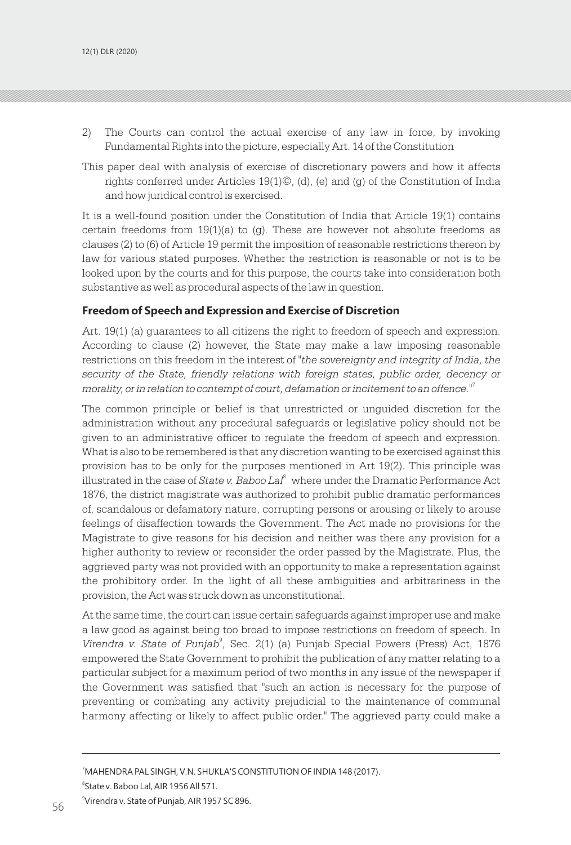- 2) The Courts can control the actual exercise of any law in force, by invoking Fundamental Rights into the picture, especially Art. 14 of the Constitution
- This paper deal with analysis of exercise of discretionary powers and how it affects rights conferred under Articles 19(1)©, (d), (e) and (g) of the Constitution of India and how juridical control is exercised.

It is a well-found position under the Constitution of India that Article 19(1) contains certain freedoms from  $19(1)(a)$  to (g). These are however not absolute freedoms as clauses (2) to (6) of Article 19 permit the imposition of reasonable restrictions thereon by law for various stated purposes. Whether the restriction is reasonable or not is to be looked upon by the courts and for this purpose, the courts take into consideration both substantive as well as procedural aspects of the law in question.

#### **Freedom of Speech and Expression and Exercise of Discretion**

Art. 19(1) (a) guarantees to all citizens the right to freedom of speech and expression. According to clause (2) however, the State may make a law imposing reasonable restrictions on this freedom in the interest of *"the sovereignty and integrity of India, the security of the State, friendly relations with foreign states, public order, decency or morality, or in relation to contempt of court, defamation or incitement to an offence."*<sup>7</sup>

The common principle or belief is that unrestricted or unguided discretion for the administration without any procedural safeguards or legislative policy should not be given to an administrative officer to regulate the freedom of speech and expression. What is also to be remembered is that any discretion wanting to be exercised against this provision has to be only for the purposes mentioned in Art 19(2). This principle was illustrated in the case of *State v. Baboo Lal*<sup>8</sup> where under the Dramatic Performance Act 1876, the district magistrate was authorized to prohibit public dramatic performances of, scandalous or defamatory nature, corrupting persons or arousing or likely to arouse feelings of disaffection towards the Government. The Act made no provisions for the Magistrate to give reasons for his decision and neither was there any provision for a higher authority to review or reconsider the order passed by the Magistrate. Plus, the aggrieved party was not provided with an opportunity to make a representation against the prohibitory order. In the light of all these ambiguities and arbitrariness in the provision, the Act was struck down as unconstitutional.

At the same time, the court can issue certain safeguards against improper use and make a law good as against being too broad to impose restrictions on freedom of speech. In Virendra v. State of Punjab<sup>9</sup>, Sec. 2(1) (a) Punjab Special Powers (Press) Act, 1876 empowered the State Government to prohibit the publication of any matter relating to a particular subject for a maximum period of two months in any issue of the newspaper if the Government was satisfied that "such an action is necessary for the purpose of preventing or combating any activity prejudicial to the maintenance of communal harmony affecting or likely to affect public order." The aggrieved party could make a

<sup>7</sup>MAHENDRA PAL SINGH, V.N. SHUKLA'S CONSTITUTION OF INDIA 148 (2017). 8 State v. Baboo Lal, AIR 1956 All 571.

<sup>9</sup>Virendra v. State of Punjab, AIR 1957 SC 896. Virendra v. State of Punjab, AIR 1957 SC 896. 57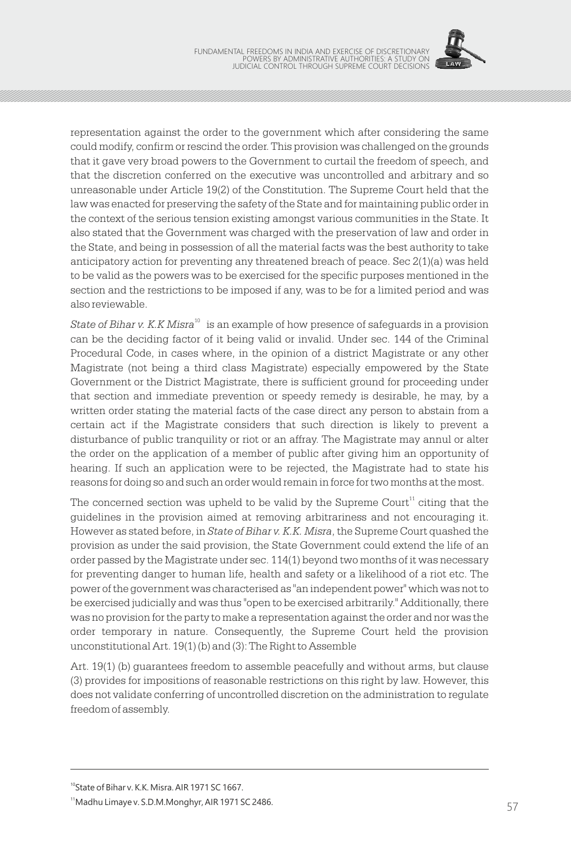

representation against the order to the government which after considering the same could modify, confirm or rescind the order. This provision was challenged on the grounds that it gave very broad powers to the Government to curtail the freedom of speech, and that the discretion conferred on the executive was uncontrolled and arbitrary and so unreasonable under Article 19(2) of the Constitution. The Supreme Court held that the law was enacted for preserving the safety of the State and for maintaining public order in the context of the serious tension existing amongst various communities in the State. It also stated that the Government was charged with the preservation of law and order in the State, and being in possession of all the material facts was the best authority to take anticipatory action for preventing any threatened breach of peace. Sec 2(1)(a) was held to be valid as the powers was to be exercised for the specific purposes mentioned in the section and the restrictions to be imposed if any, was to be for a limited period and was also reviewable.

State of Bihar v. K.K Misra<sup>10</sup> is an example of how presence of safeguards in a provision can be the deciding factor of it being valid or invalid. Under sec. 144 of the Criminal Procedural Code, in cases where, in the opinion of a district Magistrate or any other Magistrate (not being a third class Magistrate) especially empowered by the State Government or the District Magistrate, there is sufficient ground for proceeding under that section and immediate prevention or speedy remedy is desirable, he may, by a written order stating the material facts of the case direct any person to abstain from a certain act if the Magistrate considers that such direction is likely to prevent a disturbance of public tranquility or riot or an affray. The Magistrate may annul or alter the order on the application of a member of public after giving him an opportunity of hearing. If such an application were to be rejected, the Magistrate had to state his reasons for doing so and such an order would remain in force for two months at the most.

The concerned section was upheld to be valid by the Supreme Court<sup>11</sup> citing that the guidelines in the provision aimed at removing arbitrariness and not encouraging it. However as stated before, in *State of Bihar v. K.K. Misra*, the Supreme Court quashed the provision as under the said provision, the State Government could extend the life of an order passed by the Magistrate under sec. 114(1) beyond two months of it was necessary for preventing danger to human life, health and safety or a likelihood of a riot etc. The power of the government was characterised as "an independent power" which was not to be exercised judicially and was thus "open to be exercised arbitrarily." Additionally, there was no provision for the party to make a representation against the order and nor was the order temporary in nature. Consequently, the Supreme Court held the provision unconstitutional Art. 19(1) (b) and (3): The Right to Assemble

Art. 19(1) (b) guarantees freedom to assemble peacefully and without arms, but clause (3) provides for impositions of reasonable restrictions on this right by law. However, this does not validate conferring of uncontrolled discretion on the administration to regulate freedom of assembly.

<sup>&</sup>lt;sup>10</sup>State of Bihar v. K.K. Misra. AIR 1971 SC 1667.

<sup>&</sup>lt;sup>11</sup> Madhu Limaye v. S.D.M.Monghyr, AIR 1971 SC 2486.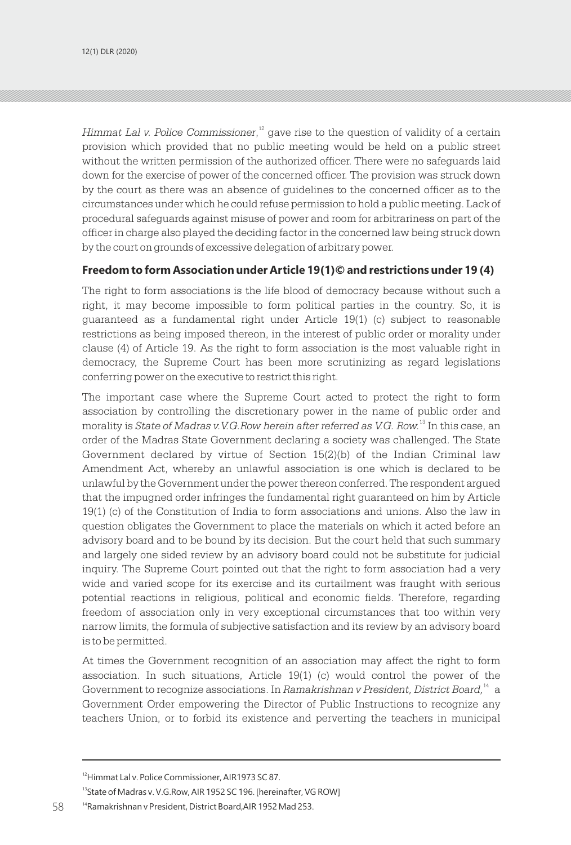*Himmat Lal v. Police Commissioner*,<sup>12</sup> gave rise to the question of validity of a certain provision which provided that no public meeting would be held on a public street without the written permission of the authorized officer. There were no safeguards laid down for the exercise of power of the concerned officer. The provision was struck down by the court as there was an absence of guidelines to the concerned officer as to the circumstances under which he could refuse permission to hold a public meeting. Lack of procedural safeguards against misuse of power and room for arbitrariness on part of the officer in charge also played the deciding factor in the concerned law being struck down by the court on grounds of excessive delegation of arbitrary power.

#### **Freedom to form Association under Article 19(1)© and restrictions under 19 (4)**

The right to form associations is the life blood of democracy because without such a right, it may become impossible to form political parties in the country. So, it is guaranteed as a fundamental right under Article 19(1) (c) subject to reasonable restrictions as being imposed thereon, in the interest of public order or morality under clause (4) of Article 19. As the right to form association is the most valuable right in democracy, the Supreme Court has been more scrutinizing as regard legislations conferring power on the executive to restrict this right.

The important case where the Supreme Court acted to protect the right to form association by controlling the discretionary power in the name of public order and morality is *State of Madras v.V.G.Row herein after referred as V.G. Row.<sup>13</sup> In this case, an* order of the Madras State Government declaring a society was challenged. The State Government declared by virtue of Section  $15(2)(b)$  of the Indian Criminal law Amendment Act, whereby an unlawful association is one which is declared to be unlawful by the Government under the power thereon conferred. The respondent argued that the impugned order infringes the fundamental right guaranteed on him by Article 19(1) (c) of the Constitution of India to form associations and unions. Also the law in question obligates the Government to place the materials on which it acted before an advisory board and to be bound by its decision. But the court held that such summary and largely one sided review by an advisory board could not be substitute for judicial inquiry. The Supreme Court pointed out that the right to form association had a very wide and varied scope for its exercise and its curtailment was fraught with serious potential reactions in religious, political and economic fields. Therefore, regarding freedom of association only in very exceptional circumstances that too within very narrow limits, the formula of subjective satisfaction and its review by an advisory board is to be permitted.

At times the Government recognition of an association may affect the right to form association. In such situations, Article  $19(1)$  (c) would control the power of the Government to recognize associations. In Ramakrishnan v President, District Board,<sup>14</sup> a Government Order empowering the Director of Public Instructions to recognize any teachers Union, or to forbid its existence and perverting the teachers in municipal

<sup>13</sup>State of Madras v. V.G.Row, AIR 1952 SC 196. [hereinafter, VG ROW]

<sup>&</sup>lt;sup>12</sup>Himmat Lal v. Police Commissioner, AIR1973 SC 87.

<sup>14</sup>Ramakrishnan v President, District Board,AIR 1952 Mad 253.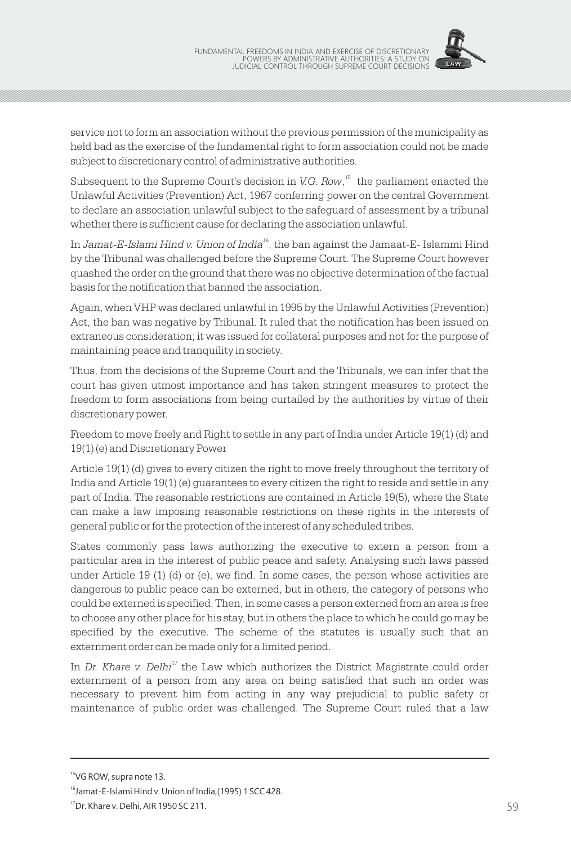

service not to form an association without the previous permission of the municipality as held bad as the exercise of the fundamental right to form association could not be made subject to discretionary control of administrative authorities.

Subsequent to the Supreme Court's decision in V.G. Row,<sup>15</sup> the parliament enacted the Unlawful Activities (Prevention) Act, 1967 conferring power on the central Government to declare an association unlawful subject to the safeguard of assessment by a tribunal whether there is sufficient cause for declaring the association unlawful.

In Jamat-E-Islami Hind v. Union of India<sup>16</sup>, the ban against the Jamaat-E-Islammi Hind by the Tribunal was challenged before the Supreme Court. The Supreme Court however quashed the order on the ground that there was no objective determination of the factual basis for the notification that banned the association.

Again, when VHP was declared unlawful in 1995 by the Unlawful Activities (Prevention) Act, the ban was negative by Tribunal. It ruled that the notification has been issued on extraneous consideration; it was issued for collateral purposes and not for the purpose of maintaining peace and tranquility in society.

Thus, from the decisions of the Supreme Court and the Tribunals, we can infer that the court has given utmost importance and has taken stringent measures to protect the freedom to form associations from being curtailed by the authorities by virtue of their discretionary power.

Freedom to move freely and Right to settle in any part of India under Article 19(1) (d) and 19(1) (e) and Discretionary Power

Article 19(1) (d) gives to every citizen the right to move freely throughout the territory of India and Article 19(1) (e) guarantees to every citizen the right to reside and settle in any part of India. The reasonable restrictions are contained in Article 19(5), where the State can make a law imposing reasonable restrictions on these rights in the interests of general public or for the protection of the interest of any scheduled tribes.

States commonly pass laws authorizing the executive to extern a person from a particular area in the interest of public peace and safety. Analysing such laws passed under Article 19 (1) (d) or (e), we find. In some cases, the person whose activities are dangerous to public peace can be externed, but in others, the category of persons who could be externed is specified. Then, in some cases a person externed from an area is free to choose any other place for his stay, but in others the place to which he could go may be specified by the executive. The scheme of the statutes is usually such that an externment order can be made only for a limited period.

In Dr. Khare v. Delhi<sup>17</sup> the Law which authorizes the District Magistrate could order externment of a person from any area on being satisfied that such an order was necessary to prevent him from acting in any way prejudicial to public safety or maintenance of public order was challenged. The Supreme Court ruled that a law

<sup>&</sup>lt;sup>15</sup>VG ROW, supra note 13.

<sup>&</sup>lt;sup>16</sup> Jamat-E-Islami Hind v. Union of India, (1995) 1 SCC 428.

<sup>&</sup>lt;sup>17</sup>Dr. Khare v. Delhi, AIR 1950 SC 211.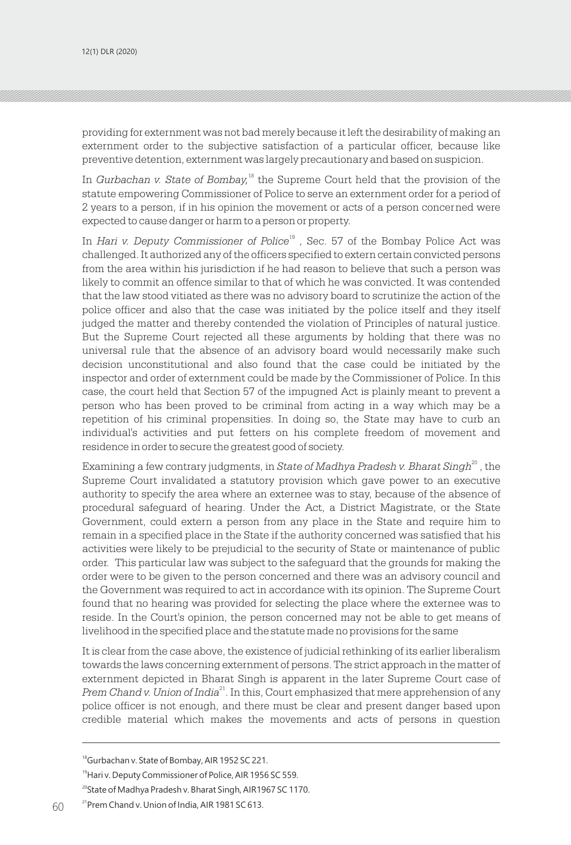providing for externment was not bad merely because it left the desirability of making an externment order to the subjective satisfaction of a particular officer, because like preventive detention, externment was largely precautionary and based on suspicion.

In Gurbachan v. State of Bombay,<sup>18</sup> the Supreme Court held that the provision of the statute empowering Commissioner of Police to serve an externment order for a period of 2 years to a person, if in his opinion the movement or acts of a person concerned were expected to cause danger or harm to a person or property.

In *Hari v. Deputy Commissioner of Police*<sup>19</sup>, Sec. 57 of the Bombay Police Act was challenged. It authorized any of the officers specified to extern certain convicted persons from the area within his jurisdiction if he had reason to believe that such a person was likely to commit an offence similar to that of which he was convicted. It was contended that the law stood vitiated as there was no advisory board to scrutinize the action of the police officer and also that the case was initiated by the police itself and they itself judged the matter and thereby contended the violation of Principles of natural justice. But the Supreme Court rejected all these arguments by holding that there was no universal rule that the absence of an advisory board would necessarily make such decision unconstitutional and also found that the case could be initiated by the inspector and order of externment could be made by the Commissioner of Police. In this case, the court held that Section 57 of the impugned Act is plainly meant to prevent a person who has been proved to be criminal from acting in a way which may be a repetition of his criminal propensities. In doing so, the State may have to curb an individual's activities and put fetters on his complete freedom of movement and residence in order to secure the greatest good of society.

Examining a few contrary judgments, in *State of Madhya Pradesh v. Bharat Singh*<sup>20</sup>, the Supreme Court invalidated a statutory provision which gave power to an executive authority to specify the area where an externee was to stay, because of the absence of procedural safeguard of hearing. Under the Act, a District Magistrate, or the State Government, could extern a person from any place in the State and require him to remain in a specified place in the State if the authority concerned was satisfied that his activities were likely to be prejudicial to the security of State or maintenance of public order. This particular law was subject to the safeguard that the grounds for making the order were to be given to the person concerned and there was an advisory council and the Government was required to act in accordance with its opinion. The Supreme Court found that no hearing was provided for selecting the place where the externee was to reside. In the Court's opinion, the person concerned may not be able to get means of livelihood in the specified place and the statute made no provisions for the same

It is clear from the case above, the existence of judicial rethinking of its earlier liberalism towards the laws concerning externment of persons. The strict approach in the matter of externment depicted in Bharat Singh is apparent in the later Supreme Court case of Prem Chand v. Union of India<sup>21</sup>. In this, Court emphasized that mere apprehension of any police officer is not enough, and there must be clear and present danger based upon credible material which makes the movements and acts of persons in question

<sup>19</sup> Hari v. Deputy Commissioner of Police, AIR 1956 SC 559.

<sup>20</sup>State of Madhya Pradesh v. Bharat Singh, AIR1967 SC 1170.

<sup>&</sup>lt;sup>18</sup>Gurbachan v. State of Bombay, AIR 1952 SC 221.

<sup>&</sup>lt;sup>21</sup> Prem Chand v. Union of India, AIR 1981 SC 613.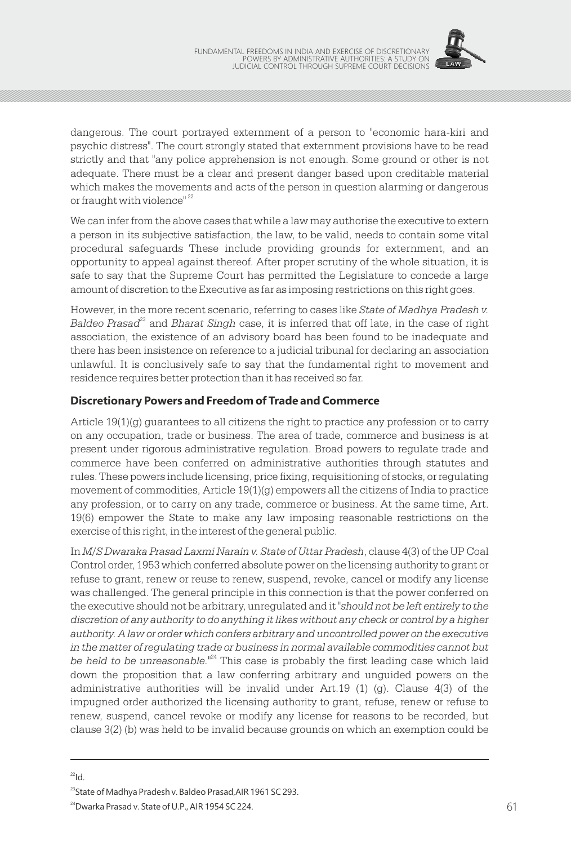

dangerous. The court portrayed externment of a person to "economic hara-kiri and psychic distress". The court strongly stated that externment provisions have to be read strictly and that "any police apprehension is not enough. Some ground or other is not adequate. There must be a clear and present danger based upon creditable material which makes the movements and acts of the person in question alarming or dangerous or fraught with violence"<sup>22</sup>

We can infer from the above cases that while a law may authorise the executive to extern a person in its subjective satisfaction, the law, to be valid, needs to contain some vital procedural safeguards These include providing grounds for externment, and an opportunity to appeal against thereof. After proper scrutiny of the whole situation, it is safe to say that the Supreme Court has permitted the Legislature to concede a large amount of discretion to the Executive as far as imposing restrictions on this right goes.

However, in the more recent scenario, referring to cases like *State of Madhya Pradesh v.*  <sup>23</sup> *Baldeo Prasad* and *Bharat Singh* case, it is inferred that off late, in the case of right association, the existence of an advisory board has been found to be inadequate and there has been insistence on reference to a judicial tribunal for declaring an association unlawful. It is conclusively safe to say that the fundamental right to movement and residence requires better protection than it has received so far.

#### **Discretionary Powers and Freedom of Trade and Commerce**

Article 19(1)(g) guarantees to all citizens the right to practice any profession or to carry on any occupation, trade or business. The area of trade, commerce and business is at present under rigorous administrative regulation. Broad powers to regulate trade and commerce have been conferred on administrative authorities through statutes and rules. These powers include licensing, price fixing, requisitioning of stocks, or regulating movement of commodities, Article 19(1)(g) empowers all the citizens of India to practice any profession, or to carry on any trade, commerce or business. At the same time, Art. 19(6) empower the State to make any law imposing reasonable restrictions on the exercise of this right, in the interest of the general public.

In *M/S Dwaraka Prasad Laxmi Narain v. State of Uttar Pradesh*, clause 4(3) of the UP Coal Control order, 1953 which conferred absolute power on the licensing authority to grant or refuse to grant, renew or reuse to renew, suspend, revoke, cancel or modify any license was challenged. The general principle in this connection is that the power conferred on the executive should not be arbitrary, unregulated and it *"should not be left entirely to the discretion of any authority to do anything it likes without any check or control by a higher authority. A law or order which confers arbitrary and uncontrolled power on the executive in the matter of regulating trade or business in normal available commodities cannot but*  be held to be unreasonable.<sup>"24</sup> This case is probably the first leading case which laid down the proposition that a law conferring arbitrary and unguided powers on the administrative authorities will be invalid under Art.19  $(1)$   $(q)$ . Clause  $4(3)$  of the impugned order authorized the licensing authority to grant, refuse, renew or refuse to renew, suspend, cancel revoke or modify any license for reasons to be recorded, but clause 3(2) (b) was held to be invalid because grounds on which an exemption could be

 $22$ Id.

<sup>&</sup>lt;sup>23</sup>State of Madhya Pradesh v. Baldeo Prasad, AIR 1961 SC 293.

<sup>24</sup>Dwarka Prasad v. State of U.P., AIR 1954 SC 224.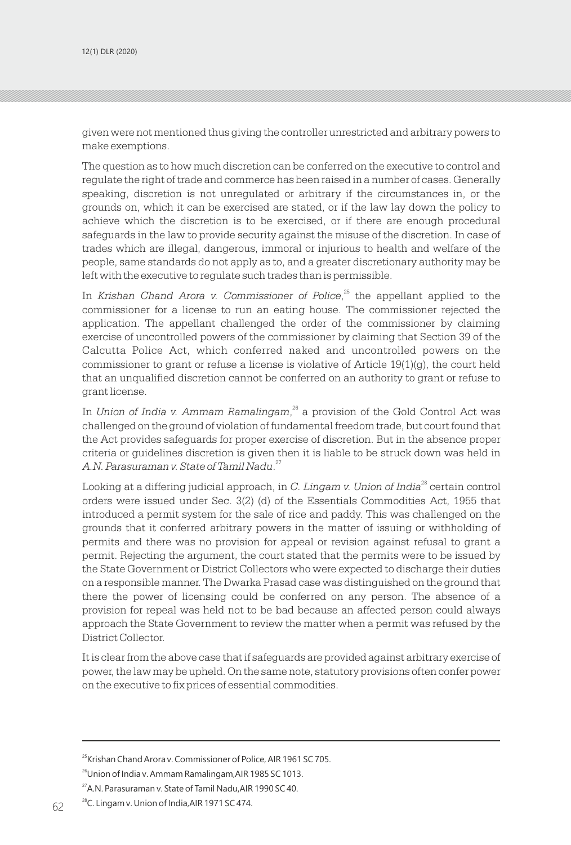given were not mentioned thus giving the controller unrestricted and arbitrary powers to make exemptions.

The question as to how much discretion can be conferred on the executive to control and regulate the right of trade and commerce has been raised in a number of cases. Generally speaking, discretion is not unregulated or arbitrary if the circumstances in, or the grounds on, which it can be exercised are stated, or if the law lay down the policy to achieve which the discretion is to be exercised, or if there are enough procedural safeguards in the law to provide security against the misuse of the discretion. In case of trades which are illegal, dangerous, immoral or injurious to health and welfare of the people, same standards do not apply as to, and a greater discretionary authority may be left with the executive to regulate such trades than is permissible.

In *Krishan Chand Arora v. Commissioner of Police*.<sup>25</sup> the appellant applied to the commissioner for a license to run an eating house. The commissioner rejected the application. The appellant challenged the order of the commissioner by claiming exercise of uncontrolled powers of the commissioner by claiming that Section 39 of the Calcutta Police Act, which conferred naked and uncontrolled powers on the commissioner to grant or refuse a license is violative of Article 19(1)(g), the court held that an unqualified discretion cannot be conferred on an authority to grant or refuse to grant license.

In Union of India v. Ammam Ramalingam,<sup>26</sup> a provision of the Gold Control Act was challenged on the ground of violation of fundamental freedom trade, but court found that the Act provides safeguards for proper exercise of discretion. But in the absence proper criteria or guidelines discretion is given then it is liable to be struck down was held in <sup>27</sup> *A.N. Parasuraman v. State of Tamil Nadu*.

Looking at a differing judicial approach, in C. Lingam v. Union of India<sup>28</sup> certain control orders were issued under Sec. 3(2) (d) of the Essentials Commodities Act, 1955 that introduced a permit system for the sale of rice and paddy. This was challenged on the grounds that it conferred arbitrary powers in the matter of issuing or withholding of permits and there was no provision for appeal or revision against refusal to grant a permit. Rejecting the argument, the court stated that the permits were to be issued by the State Government or District Collectors who were expected to discharge their duties on a responsible manner. The Dwarka Prasad case was distinguished on the ground that there the power of licensing could be conferred on any person. The absence of a provision for repeal was held not to be bad because an affected person could always approach the State Government to review the matter when a permit was refused by the District Collector.

It is clear from the above case that if safeguards are provided against arbitrary exercise of power, the law may be upheld. On the same note, statutory provisions often confer power on the executive to fix prices of essential commodities.

<sup>&</sup>lt;sup>25</sup>Krishan Chand Arora v. Commissioner of Police, AIR 1961 SC 705.

<sup>&</sup>lt;sup>26</sup>Union of India v. Ammam Ramalingam, AIR 1985 SC 1013.

<sup>27</sup>A.N. Parasuraman v. State of Tamil Nadu,AIR 1990 SC 40.

<sup>&</sup>lt;sup>28</sup>C. Lingam v. Union of India, AIR 1971 SC 474.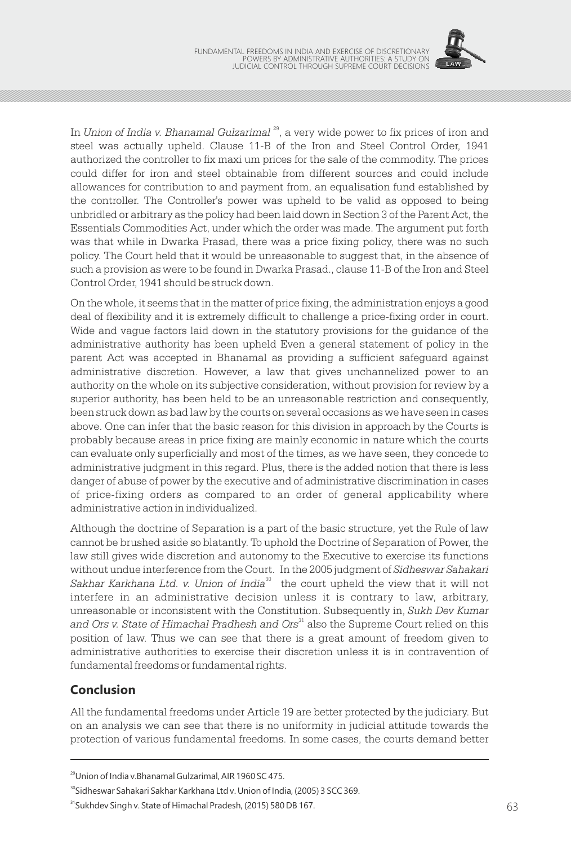

In Union of India v. Bhanamal Gulzarimal<sup>29</sup>, a very wide power to fix prices of iron and steel was actually upheld. Clause 11-B of the Iron and Steel Control Order, 1941 authorized the controller to fix maxi um prices for the sale of the commodity. The prices could differ for iron and steel obtainable from different sources and could include allowances for contribution to and payment from, an equalisation fund established by the controller. The Controller's power was upheld to be valid as opposed to being unbridled or arbitrary as the policy had been laid down in Section 3 of the Parent Act, the Essentials Commodities Act, under which the order was made. The argument put forth was that while in Dwarka Prasad, there was a price fixing policy, there was no such policy. The Court held that it would be unreasonable to suggest that, in the absence of such a provision as were to be found in Dwarka Prasad., clause 11-B of the Iron and Steel Control Order, 1941 should be struck down.

On the whole, it seems that in the matter of price fixing, the administration enjoys a good deal of flexibility and it is extremely difficult to challenge a price-fixing order in court. Wide and vague factors laid down in the statutory provisions for the guidance of the administrative authority has been upheld Even a general statement of policy in the parent Act was accepted in Bhanamal as providing a sufficient safeguard against administrative discretion. However, a law that gives unchannelized power to an authority on the whole on its subjective consideration, without provision for review by a superior authority, has been held to be an unreasonable restriction and consequently, been struck down as bad law by the courts on several occasions as we have seen in cases above. One can infer that the basic reason for this division in approach by the Courts is probably because areas in price fixing are mainly economic in nature which the courts can evaluate only superficially and most of the times, as we have seen, they concede to administrative judgment in this regard. Plus, there is the added notion that there is less danger of abuse of power by the executive and of administrative discrimination in cases of price-fixing orders as compared to an order of general applicability where administrative action in individualized.

Although the doctrine of Separation is a part of the basic structure, yet the Rule of law cannot be brushed aside so blatantly. To uphold the Doctrine of Separation of Power, the law still gives wide discretion and autonomy to the Executive to exercise its functions without undue interference from the Court. In the 2005 judgment of *Sidheswar Sahakari*  Sakhar Karkhana Ltd. v. Union of India<sup>30</sup> the court upheld the view that it will not interfere in an administrative decision unless it is contrary to law, arbitrary, unreasonable or inconsistent with the Constitution. Subsequently in, *Sukh Dev Kumar*  and Ors v. State of Himachal Pradhesh and Ors<sup>31</sup> also the Supreme Court relied on this position of law. Thus we can see that there is a great amount of freedom given to administrative authorities to exercise their discretion unless it is in contravention of fundamental freedoms or fundamental rights.

# **Conclusion**

All the fundamental freedoms under Article 19 are better protected by the judiciary. But on an analysis we can see that there is no uniformity in judicial attitude towards the protection of various fundamental freedoms. In some cases, the courts demand better

<sup>29</sup>Union of India v.Bhanamal Gulzarimal, AIR 1960 SC 475.

<sup>&</sup>lt;sup>30</sup>Sidheswar Sahakari Sakhar Karkhana Ltd v. Union of India, (2005) 3 SCC 369.

<sup>&</sup>lt;sup>31</sup>Sukhdev Singh v. State of Himachal Pradesh, (2015) 580 DB 167.